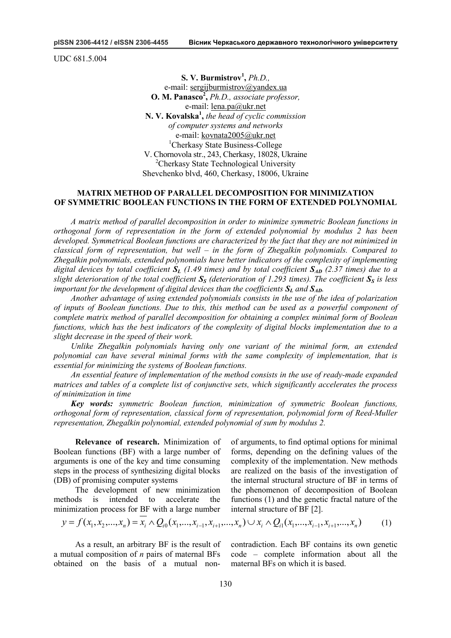UDC 681.5.004

**S. V. Burmistrov<sup>1</sup> ,** *Ph.D.,* e-mail: [sergijburmistrov@yandex.ua](mailto:sergijburmistrov@yandex.ua) **O. M. Panasco<sup>2</sup> ,** *Ph.D., associate professor,*  e-mail: [lena.pa@ukr.net](mailto:lena.pa@ukr.net) **N. V. Kovalska<sup>1</sup> ,** *the head of cyclic commission of computer systems and networks* e-mail: [kovnata2005@ukr.net](mailto:kovnata2005@ukr.net) <sup>1</sup>Cherkasy State Business-College V. Chornovola str., 243, Cherkasy, 18028, Ukraine <sup>2</sup>Cherkasy State Technological University Shevchenko blvd, 460, Cherkasy, 18006, Ukraine

### **MATRIX METHOD OF PARALLEL DECOMPOSITION FOR MINIMIZATION OF SYMMETRIC BOOLEAN FUNCTIONS IN THE FORM OF EXTENDED POLYNOMIAL**

*A matrix method of parallel decomposition in order to minimize symmetric Boolean functions in orthogonal form of representation in the form of extended polynomial by modulus 2 has been developed. Symmetrical Boolean functions are characterized by the fact that they are not minimized in classical form of representation, but well – in the form of Zhegalkin polynomials. Compared to Zhegalkin polynomials, extended polynomials have better indicators of the complexity of implementing*  digital devices by total coefficient  $S_L$  (1.49 times) and by total coefficient  $S_{AD}$  (2.37 times) due to a slight deterioration of the total coefficient  $S_s$  (deterioration of 1.293 times). The coefficient  $S_s$  is less *important* for *the development* of *digital devices than the coefficients*  $S_l$  *and*  $S_{4D}$ *.* 

*Another advantage of using extended polynomials consists in the use of the idea of polarization of inputs of Boolean functions. Due to this, this method can be used as a powerful component of complete matrix method of parallel decomposition for obtaining a complex minimal form of Boolean functions, which has the best indicators of the complexity of digital blocks implementation due to a slight decrease in the speed of their work.* 

*Unlike Zhegalkin polynomials having only one variant of the minimal form, an extended polynomial can have several minimal forms with the same complexity of implementation, that is essential for minimizing the systems of Boolean functions.* 

*An essential feature of implementation of the method consists in the use of ready-made expanded matrices and tables of a complete list of conjunctive sets, which significantly accelerates the process of minimization in time* 

*Key words: symmetric Boolean function, minimization of symmetric Boolean functions, orthogonal form of representation, classical form of representation, polynomial form of Reed-Muller representation, Zhegalkin polynomial, extended polynomial of sum by modulus 2.* 

**Relevance of research.** Minimization of Boolean functions (BF) with a large number of arguments is one of the key and time consuming steps in the process of synthesizing digital blocks (DB) of promising computer systems

The development of new minimization methods is intended to accelerate the minimization process for BF with a large number of arguments, to find optimal options for minimal forms, depending on the defining values of the complexity of the implementation. New methods are realized on the basis of the investigation of the internal structural structure of BF in terms of the phenomenon of decomposition of Boolean functions (1) and the genetic fractal nature of the internal structure of BF [2].

$$
y = f(x_1, x_2, \dots, x_n) = x_i \wedge Q_{i0}(x_1, \dots, x_{i-1}, x_{i+1}, \dots, x_n) \cup x_i \wedge Q_{i1}(x_1, \dots, x_{i-1}, x_{i+1}, \dots, x_n)
$$
(1)

As a result, an arbitrary BF is the result of a mutual composition of *n* pairs of maternal BFs obtained on the basis of a mutual non-

contradiction. Each BF contains its own genetic code – complete information about all the maternal BFs on which it is based.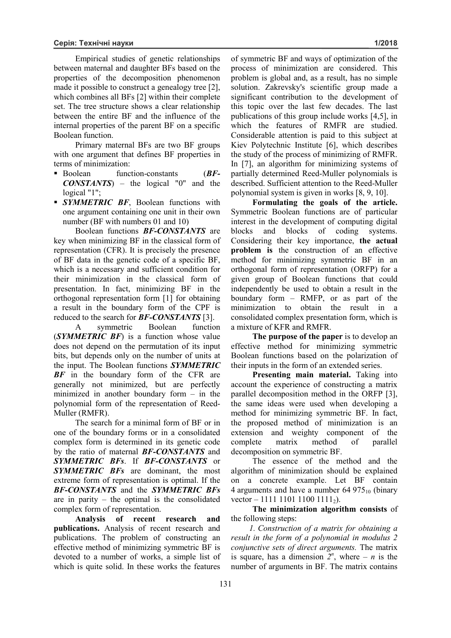Empirical studies of genetic relationships between maternal and daughter BFs based on the properties of the decomposition phenomenon made it possible to construct a genealogy tree [2], which combines all BFs [2] within their complete set. The tree structure shows a clear relationship

between the entire BF and the influence of the internal properties of the parent BF on a specific Boolean function.

Primary maternal BFs are two BF groups with one argument that defines BF properties in terms of minimization:

- ß Boolean function-constants (*BF-CONSTANTS*) – the logical "0" and the logical "1";
- **SYMMETRIC BF**, Boolean functions with one argument containing one unit in their own number (BF with numbers 01 and 10)

Boolean functions *BF-CONSTANTS* are key when minimizing BF in the classical form of representation (CFR). It is precisely the presence of BF data in the genetic code of a specific BF, which is a necessary and sufficient condition for their minimization in the classical form of presentation. In fact, minimizing BF in the orthogonal representation form [1] for obtaining a result in the boundary form of the CPF is reduced to the search for *BF-CONSTANTS* [3].

A symmetric Boolean function (*SYMMETRIC BF*) is a function whose value does not depend on the permutation of its input bits, but depends only on the number of units at the input. The Boolean functions *SYMMETRIC BF* in the boundary form of the CFR are generally not minimized, but are perfectly minimized in another boundary form – in the polynomial form of the representation of Reed-Muller (RMFR).

The search for a minimal form of BF or in one of the boundary forms or in a consolidated complex form is determined in its genetic code by the ratio of maternal *BF-CONSTANTS* and *SYMMETRIC BFs*. If *BF-CONSTANTS* or *SYMMETRIC BFs* are dominant, the most extreme form of representation is optimal. If the *BF-CONSTANTS* and the *SYMMETRIC BFs* are in parity – the optimal is the consolidated complex form of representation.

**Analysis of recent research and publications.** Analysis of recent research and publications. The problem of constructing an effective method of minimizing symmetric BF is devoted to a number of works, a simple list of which is quite solid. In these works the features

of symmetric BF and ways of optimization of the process of minimization are considered. This problem is global and, as a result, has no simple solution. Zakrevsky's scientific group made a significant contribution to the development of this topic over the last few decades. The last publications of this group include works [4,5], in which the features of RMFR are studied. Considerable attention is paid to this subject at Kiev Polytechnic Institute [6], which describes the study of the process of minimizing of RMFR. In [7], an algorithm for minimizing systems of partially determined Reed-Muller polynomials is described. Sufficient attention to the Reed-Muller polynomial system is given in works [8, 9, 10].

**Formulating the goals of the article.** Symmetric Boolean functions are of particular interest in the development of computing digital blocks and blocks of coding systems. Considering their key importance, **the actual problem is** the construction of an effective method for minimizing symmetric BF in an orthogonal form of representation (ORFP) for a given group of Boolean functions that could independently be used to obtain a result in the boundary form – RMFP, or as part of the minimization to obtain the result in a consolidated complex presentation form, which is a mixture of KFR and RMFR.

**The purpose of the paper** is to develop an effective method for minimizing symmetric Boolean functions based on the polarization of their inputs in the form of an extended series.

**Presenting main material.** Taking into account the experience of constructing a matrix parallel decomposition method in the ORFP [3], the same ideas were used when developing a method for minimizing symmetric BF. In fact, the proposed method of minimization is an extension and weighty component of the complete matrix method of parallel decomposition on symmetric BF.

The essence of the method and the algorithm of minimization should be explained on a concrete example. Let BF contain 4 arguments and have a number  $64\,975_{10}$  (binary vector – 1111 1101 1100 1111 $_2$ ).

## **The minimization algorithm consists** of the following steps:

*1. Construction of a matrix for obtaining a result in the form of a polynomial in modulus 2 conjunctive sets of direct arguments.* The matrix is square, has a dimension  $2^n$ , where – *n* is the number of arguments in BF. The matrix contains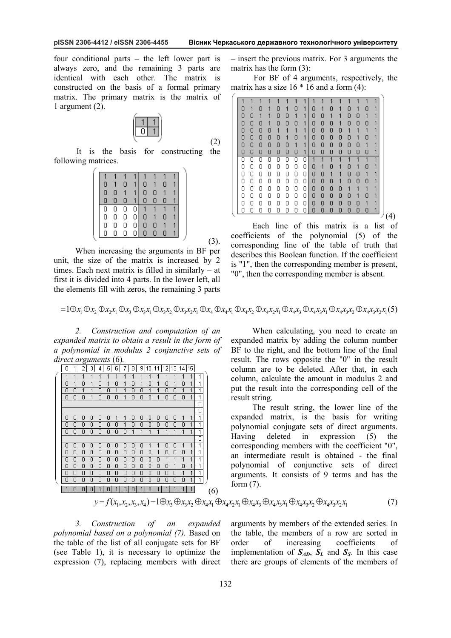four conditional parts – the left lower part is always zero, and the remaining 3 parts are identical with each other. The matrix is constructed on the basis of a formal primary matrix. The primary matrix is the matrix of 1 argument (2).



It is the basis for constructing the following matrices.

| 0 |   | 0 |   | О |   | n |  |
|---|---|---|---|---|---|---|--|
| 0 | 0 |   | 1 | О | Ω |   |  |
| О | 0 | 0 | 1 | О | 0 | Π |  |
| 0 | 0 | 0 | О | 1 | 1 |   |  |
| 0 | 0 | 0 | О | 0 |   | Ω |  |
| О | Ο | Ο | Ο | Ο | О |   |  |
| Ō | О | О | О | О | Ο | Π |  |
|   |   |   |   |   |   |   |  |

When increasing the arguments in BF per unit, the size of the matrix is increased by 2 times. Each next matrix is filled in similarly – at first it is divided into 4 parts. In the lower left, all the elements fill with zeros, the remaining 3 parts – insert the previous matrix. For 3 arguments the matrix has the form (3):

For BF of 4 arguments, respectively, the matrix has a size  $16 * 16$  and a form (4):

| О | 1 | Π | 1 | 0 | 1 | Π | 1 | Π | 1 | П | 1 | 0 | 1 | Π | и |     |
|---|---|---|---|---|---|---|---|---|---|---|---|---|---|---|---|-----|
| 0 | 0 | 1 | 1 | 0 | Π | 1 | 1 | 0 | 0 | 1 | 1 | 0 | Π | 1 |   |     |
| 0 | 0 | Ω | 1 | 0 | 0 | Ω | 1 | О | 0 | 0 | 1 | 0 | 0 | Ω |   |     |
| 0 | 0 | 0 | Ο | 1 | 1 | 1 | 1 | 0 | 0 | 0 | Ω | 1 |   |   |   |     |
| 0 | 0 | 0 | 0 | 0 | 1 | Ο | 1 | Ο | 0 | 0 | Ο | 0 | 1 | Π | и |     |
| 0 | 0 | n | Π | 0 | Π | 1 | 1 | 0 | 0 | 0 | П | n | Π | 1 |   |     |
| 0 | 0 | Π | 0 | 0 | 0 | 0 | 1 | O | 0 | Π | Π | Π | Π | 0 |   |     |
| Ο | Ο | Ο | Π | Ω | Π | N | Ω |   |   |   |   |   |   |   |   |     |
| Ο | Ο | Ο | Ο | Π | n | Ω | 0 | О | 1 | Ο | 1 | О | 1 | Ο | 1 |     |
| 0 | 0 | Π | Ω | Ω | Π | Ω | 0 | 0 | 0 | 1 | 1 | 0 | 0 | 1 |   |     |
| 0 | 0 | Ω | Π | Ω | Ω | Ω | 0 | 0 | 0 | 0 | 1 | 0 | 0 | Ω |   |     |
| Ο | Ο | 0 | 0 | Ο | 0 | 0 | 0 | 0 | 0 | 0 | 0 | 1 | 1 |   |   |     |
| Ο | Ο | Ο | О | О | Ο | Ο | 0 | 0 | 0 | Ο | 0 | Ο | 1 | N | и |     |
| 0 | 0 | 0 | 0 | 0 | 0 | 0 | 0 | 0 | 0 | 0 | 0 | 0 | 0 | 1 |   |     |
| 0 | Ū | 0 | 0 | 0 | 0 | Ω |   | Π | 0 | Ω | Ω | 0 | 0 | О | 4 |     |
|   |   |   |   |   |   |   |   |   |   |   |   |   |   |   |   | (4) |

Each line of this matrix is a list of coefficients of the polynomial (5) of the corresponding line of the table of truth that describes this Boolean function. If the coefficient is "1", then the corresponding member is present, "0", then the corresponding member is absent.

 $=1\oplus x_1\oplus x_2\oplus x_3x_1\oplus x_3\oplus x_4x_1\oplus x_4x_2\oplus x_4x_4\oplus x_4x_1\oplus x_4x_2\oplus x_4x_3x_1\oplus x_4x_3\oplus x_4x_3x_1\oplus x_4x_3x_2\oplus x_4x_3x_3x_1(5)$ 

(2)

(3).

*2. Construction and computation of an expanded matrix to obtain a result in the form of a polynomial in modulus 2 conjunctive sets of direct arguments* (6)*.* 

|   |   |   | 3 | 4 | 5 | 6 |   | 8 | 9 | 10 |   | l12 l |   | 13 14 15 |              |   |  |
|---|---|---|---|---|---|---|---|---|---|----|---|-------|---|----------|--------------|---|--|
|   | 1 |   |   |   |   |   |   |   |   |    |   |       |   |          | 1            | 1 |  |
| 0 | 1 | Ω | 1 | Ω | 1 | Ω | 1 | Ω | 1 | Ω  | 1 | Ω     | 1 | Ω        | 1            |   |  |
| 0 | 0 | 1 | 1 | 0 | Π | 1 | 1 | Π | Π | 1  | 1 | Π     | О | 1        | 1            |   |  |
| 0 | 0 | Π | 1 | 0 | 0 | 0 | 1 | 0 | 0 | 0  | 1 | Π     | 0 | 0        | 1            | 1 |  |
|   |   |   |   |   |   |   |   |   |   |    |   |       |   |          |              | О |  |
|   |   |   |   |   |   |   |   |   |   |    |   |       |   |          |              | 0 |  |
| 0 | 0 | 0 | Π | 0 | Π |   | 1 | Π | 0 | Π  | Π | 0     | 0 |          | 1            | 1 |  |
| 0 | 0 | 0 | Ω | Ω | Ω | Ω | 1 | Ω | 0 | Ω  | Ω | Ω     | Ω | Ω        | 1            | 4 |  |
| Ω | Ω | Ω | Ω | Ω | Ω | Ω | Ω | 1 | 1 | 1  | 1 | 1     | 1 | 1        | 1            | 4 |  |
|   |   |   |   |   |   |   |   |   |   |    |   |       |   |          |              | 0 |  |
| 0 | 0 | 0 | 0 | 0 | Π | Π | n | Π | 0 | 1  | 1 | Π     | 0 |          | 1            | 1 |  |
| 0 | 0 | Ω | Ω | 0 | Ω | Ω | Ω | Ω | Ω | Ω  | 1 | Ω     | Ω | Ω        | 1            | 4 |  |
| 0 | 0 | Ω | Ω | 0 | Ω | Ω | Ω | Ω | Ω | Ω  | Ω | 1     |   |          | 1            | 1 |  |
| 0 | 0 | 0 | 0 | 0 | 0 | 0 | 0 | 0 | 0 | 0  | 0 | Ω     | 1 | 0        | 1            | 1 |  |
| 0 | 0 | 0 | 0 | 0 | 0 | 0 | 0 | 0 | 0 | О  | 0 | 0     | 0 | 1        | 1            | 1 |  |
| 0 | Ω | Ω | Ω | 0 | 0 | Ω | 0 | Ω | Ω | Ω  | 0 | 0     | 0 | 0        | 1            | 1 |  |
|   | n | n | n |   | n |   | n | n |   | n  | 1 | 1     | 1 |          | $\mathbf{1}$ |   |  |

When calculating, you need to create an expanded matrix by adding the column number BF to the right, and the bottom line of the final result. The rows opposite the "0" in the result column are to be deleted. After that, in each column, calculate the amount in modulus 2 and put the result into the corresponding cell of the result string.

The result string, the lower line of the expanded matrix, is the basis for writing polynomial conjugate sets of direct arguments. Having deleted in expression (5) the corresponding members with the coefficient "0", an intermediate result is obtained - the final polynomial of conjunctive sets of direct arguments. It consists of 9 terms and has the form (7).

$$
y = f(x_1, x_2, x_3, x_4) = 1 \oplus x_3 \oplus x_3 x_2 \oplus x_4 x_1 \oplus x_4 x_2 x_1 \oplus x_4 x_3 \oplus x_4 x_3 x_1 \oplus x_4 x_3 x_2 \oplus x_4 x_3 x_2 x_1 \tag{7}
$$

*3. Construction of an expanded polynomial based on a polynomial (7).* Based on the table of the list of all conjugate sets for BF (see Table 1), it is necessary to optimize the expression (7), replacing members with direct

arguments by members of the extended series. In the table, the members of a row are sorted in order of increasing coefficients of implementation of  $S_{AD}$ ,  $S_L$  and  $S_S$ . In this case there are groups of elements of the members of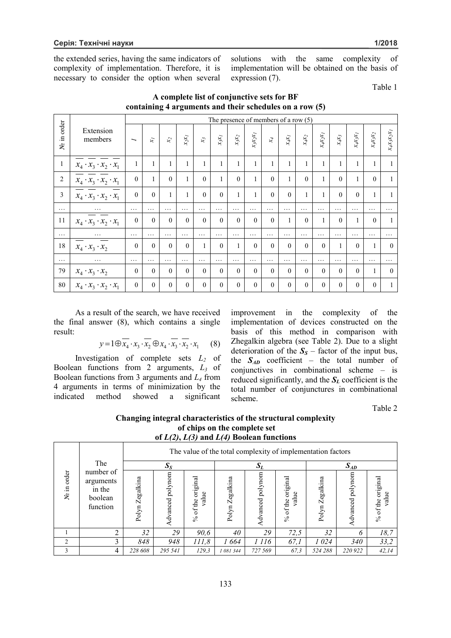the extended series, having the same indicators of complexity of implementation. Therefore, it is necessary to consider the option when several

solutions with the same complexity of implementation will be obtained on the basis of expression (7).

Table 1

|                |                                     |                          |                      |                 |              |                  |              |              |              | The presence of members of a row $(5)$ |              |                        |              |                             |                        |              |                                          |
|----------------|-------------------------------------|--------------------------|----------------------|-----------------|--------------|------------------|--------------|--------------|--------------|----------------------------------------|--------------|------------------------|--------------|-----------------------------|------------------------|--------------|------------------------------------------|
| order<br>No in | Extension<br>members                | $\overline{\phantom{0}}$ | $\tilde{\mathbf{x}}$ | $\mathcal{X}_2$ | $x_2x_I$     | $\mathfrak{x}_3$ | $x_3x_l$     | $x_3x_2$     | $x_3x_2x_1$  | $\mathbf{x}^{\mathcal{A}}$             | $x_4x_1$     | $\chi_{\phi} \chi_{2}$ | $x_4x_2x_1$  | $\chi_{\phi} \chi_{\rm{3}}$ | $\chi_4 \chi_3 \chi_J$ | $x_4x_3x_2$  | $\chi_{\phi} \chi_{3} \chi_{2} \chi_{I}$ |
| $\mathbf{1}$   | $x_4 \cdot x_3 \cdot x_2 \cdot x_1$ | 1                        |                      | 1               | $\mathbf{1}$ |                  | $\mathbf{1}$ | $\mathbf{1}$ | $\mathbf{1}$ | 1                                      |              | $\mathbf{1}$           | $\mathbf{1}$ | 1                           | $\mathbf{1}$           | $\mathbf{1}$ |                                          |
| $\overline{2}$ | $x_4 \cdot x_3 \cdot x_2 \cdot x_1$ | $\mathbf{0}$             |                      | $\theta$        | 1            | $\theta$         | $\mathbf{1}$ | $\theta$     | 1            | $\theta$                               | $\mathbf{1}$ | $\theta$               | $\mathbf{1}$ | $\theta$                    | $\mathbf{1}$           | $\theta$     | $\mathbf{1}$                             |
| 3              | $x_4 \cdot x_3 \cdot x_2 \cdot x_1$ | $\theta$                 | $\theta$             | 1               | 1            | $\theta$         | $\theta$     | $\mathbf{1}$ | $\mathbf{1}$ | $\theta$                               | $\theta$     | $\mathbf{1}$           | 1            | $\theta$                    | $\theta$               | $\mathbf{1}$ | 1                                        |
| $\cdots$       | $\cdots$                            | $\cdots$                 | .                    | .               | .            | $\cdots$         | $\cdots$     | .            | .            | .                                      | $\cdots$     | $\cdots$               | $\cdots$     | .                           | .                      | $\cdots$     | $\cdots$                                 |
| 11             | $x_4 \cdot x_3 \cdot x_2 \cdot x_1$ | $\theta$                 | $\Omega$             | $\Omega$        | $\Omega$     | $\Omega$         | $\Omega$     | $\theta$     | $\theta$     | $\theta$                               |              | $\Omega$               | 1            | $\theta$                    | $\mathbf{1}$           | $\theta$     | 1                                        |
| $\cdots$       | $\cdots$                            | $\cdots$                 | $\cdots$             | $\cdots$        | $\cdots$     | $\cdots$         | $\cdots$     | $\cdots$     | $\cdots$     | $\cdots$                               | $\cdots$     | $\cdots$               | .            | $\cdots$                    | $\cdots$               | $\cdots$     | $\cdots$                                 |
| 18             | $x_4 \cdot x_3 \cdot x_2$           | $\mathbf{0}$             | $\theta$             | $\theta$        | $\theta$     | 1                | $\theta$     | $\mathbf{1}$ | $\theta$     | $\theta$                               | $\theta$     | $\theta$               | $\theta$     | $\mathbf{1}$                | $\theta$               | $\mathbf{1}$ | $\theta$                                 |
| $\cdots$       | $\cdots$                            | $\cdots$                 | $\cdots$             | .               | .            | $\cdots$         | .            | $\cdots$     | .            | .                                      | $\cdots$     | $\cdots$               | $\cdots$     | .                           | $\cdots$               | $\cdots$     | .                                        |
| 79             | $x_4 \cdot x_3 \cdot x_2$           | $\mathbf{0}$             | $\theta$             | $\theta$        | $\theta$     | $\theta$         | $\theta$     | $\theta$     | $\theta$     | $\theta$                               | $\theta$     | $\Omega$               | $\Omega$     | $\theta$                    | $\theta$               |              | $\theta$                                 |
| 80             | $x_4 \cdot x_3 \cdot x_2 \cdot x_1$ | $\mathbf{0}$             | $\theta$             | $\theta$        | $\theta$     | $\theta$         | $\theta$     | $\theta$     | $\theta$     | $\theta$                               | $\theta$     | $\theta$               | $\Omega$     | $\theta$                    | $\theta$               | $\theta$     | 1                                        |

**A complete list of conjunctive sets for BF containing 4 arguments and their schedules on a row (5)** 

As a result of the search, we have received the final answer (8), which contains a single result:

 $y=1\oplus x_4 \cdot x_3 \cdot x_2 \oplus x_4 \cdot x_3 \cdot x_2 \cdot x_1$  (8)

Investigation of complete sets *L<sup>2</sup>* of Boolean functions from 2 arguments, *L<sup>3</sup>* of Boolean functions from 3 arguments and *L<sup>4</sup>* from 4 arguments in terms of minimization by the indicated method showed a significant

improvement in the complexity of the implementation of devices constructed on the basis of this method in comparison with Zhegalkin algebra (see Table 2). Due to a slight deterioration of the  $S<sub>S</sub>$  – factor of the input bus, the  $S_{AD}$  coefficient – the total number of conjunctives in combinational scheme – is reduced significantly, and the  $S_L$  coefficient is the total number of conjunctures in combinational scheme.

Table 2

| Changing integral characteristics of the structural complexity |
|----------------------------------------------------------------|
| of chips on the complete set                                   |
| of $L(2)$ , $L(3)$ and $L(4)$ Boolean functions                |

|                   |                                                         | The value of the total complexity of implementation factors |                     |                                     |                 |                     |                                              |                 |                  |                            |  |  |  |
|-------------------|---------------------------------------------------------|-------------------------------------------------------------|---------------------|-------------------------------------|-----------------|---------------------|----------------------------------------------|-----------------|------------------|----------------------------|--|--|--|
|                   | The                                                     |                                                             | $S_{S}$             |                                     |                 | $S_L$               |                                              | $S_{AD}$        |                  |                            |  |  |  |
| order<br>Ξ.<br>కి | number of<br>arguments<br>in the<br>boolean<br>function | Polyn Zegalkina                                             | polynom<br>Advanced | original<br>value<br>of the<br>$\%$ | Polyn Zegalkina | polynom<br>Advanced | original<br>value<br>of the<br>$\frac{6}{6}$ | Polyn Zegalkina | Advanced polynom | % of the original<br>value |  |  |  |
|                   | ↑                                                       | 32                                                          | 29                  | 90,6                                | 40              | 29                  | 72,5                                         | 32              | 6                | 18,7                       |  |  |  |
| 2                 | 3                                                       | 848                                                         | 948                 | 111,8                               | 1664            | 1 1 1 6             | 67,1                                         | 1 024           | <i>340</i>       | 33,2                       |  |  |  |
| $\mathbf{3}$      | 4                                                       | 228 608                                                     | 295 541             | 129.3                               | 1 081 344       | 727 569             | 67.3                                         | 524 288         | 220 922          | 42,14                      |  |  |  |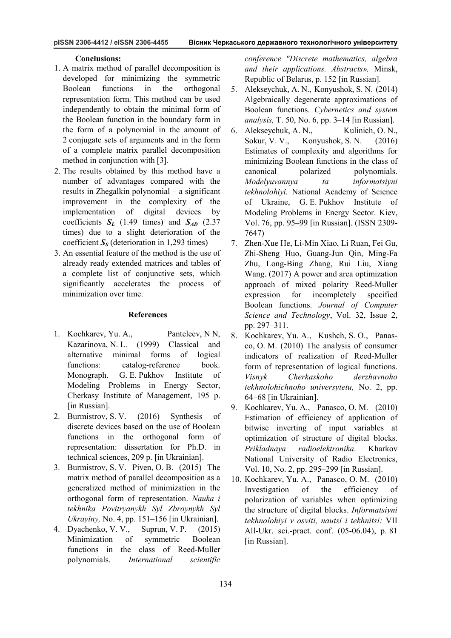#### **Conclusions:**

- 1. A matrix method of parallel decomposition is developed for minimizing the symmetric Boolean functions in the orthogonal representation form. This method can be used independently to obtain the minimal form of the Boolean function in the boundary form in the form of a polynomial in the amount of 2 conjugate sets of arguments and in the form of a complete matrix parallel decomposition method in conjunction with [3].
- 2. The results obtained by this method have a number of advantages compared with the results in Zhegalkin polynomial – a significant improvement in the complexity of the implementation of digital devices by coefficients  $S_L$  (1.49 times) and  $S_{AD}$  (2.37 times) due to a slight deterioration of the coefficient  $S_S$  (deterioration in 1,293 times)
- 3. An essential feature of the method is the use of already ready extended matrices and tables of a complete list of conjunctive sets, which significantly accelerates the process of minimization over time.

### **References**

- 1. Kochkarev, Yu. A., Panteleev, N N, Kazarinova, N. L. (1999) Classical and alternative minimal forms of logical functions: catalog-reference book. Monograph. G. E. Pukhov Institute of Modeling Problems in Energy Sector, Cherkasy Institute of Management, 195 p. [in Russian].
- 2. Burmistrov, S. V. (2016) Synthesis of discrete devices based on the use of Boolean functions in the orthogonal form of representation: dissertation for Ph.D. in technical sciences, 209 p. [in Ukrainian].
- 3. Burmistrov, S. V. Piven, O. B. (2015) The matrix method of parallel decomposition as a generalized method of minimization in the orthogonal form of representation. *Nauka i tekhnika Povitryanykh Syl Zbroynykh Syl Ukrayiny,* No. 4, pp. 151–156 [in Ukrainian].
- 4. Dyachenko, V. V., Suprun, V. P. (2015) Minimization of symmetric Boolean functions in the class of Reed-Muller polynomials. *International scientific*

*conference "Discrete mathematics, algebra and their applications. Abstracts»,* Minsk, Republic of Belarus, p. 152 [in Russian].

- 5. Alekseychuk, A. N., Konyushok, S. N. (2014) Algebraically degenerate approximations of Boolean functions. *Cybernetics and system analysis,* Т. 50, No. 6, pp. 3–14 [in Russian].
- 6. Alekseychuk, A. N., Kulinich, O. N., Sokur, V. V., Konyushok, S. N. (2016) Estimates of complexity and algorithms for minimizing Boolean functions in the class of canonical polarized polynomials. *Modelyuvannya ta informatsiyni tekhnolohiyi.* National Academy of Science of Ukraine, G. E. Pukhov Institute of Modeling Problems in Energy Sector. Kiev, Vol. 76, pp. 95–99 [in Russian]. (ISSN 2309- 7647)
- 7. Zhen-Xue He, Li-Min Xiao, Li Ruan, Fei Gu, Zhi-Sheng Huo, Guang-Jun Qin, Ming-Fa Zhu, Long-Bing Zhang, Rui Liu, Xiang Wang. (2017) A power and area optimization approach of mixed polarity Reed-Muller expression for incompletely specified Boolean functions. *Journal of Computer Science and Technology*, Vol. 32, Issue 2, pp. 297–311.
- 8. Kochkarev, Yu. A., Kushch, S. O., Panasco, O. M. (2010) The analysis of consumer indicators of realization of Reed-Muller form of representation of logical functions. *Visnyk Cherkaskoho derzhavnoho tekhnolohichnoho universytetu,* No. 2, pp. 64–68 [in Ukrainian].
- 9. Kochkarev, Yu. A., Panasco, O. M. (2010) Estimation of efficiency of application of bitwise inverting of input variables at optimization of structure of digital blocks. *Prikladnaya radioelektronika*. Kharkov National University of Radio Electronics, Vol. 10, No. 2, pp. 295–299 [in Russian].
- 10. Kochkarev, Yu. A., Panasco, O. M. (2010) Investigation of the efficiency of polarization of variables when optimizing the structure of digital blocks. *Informatsiyni tekhnolohiyi v osviti, nautsi i tekhnitsi:* VII All-Ukr. sci.-pract. conf. (05-06.04), p. 81 [in Russian].